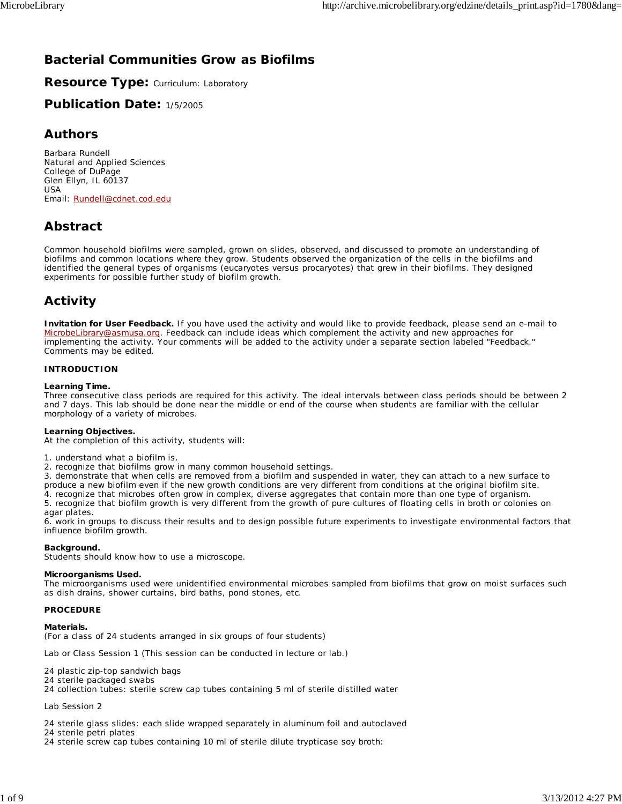# **Bacterial Communities Grow as Biofilms**

**Resource Type: Curriculum: Laboratory** 

**Publication Date:** 1/5/2005

## **Authors**

*Barbara Rundell* Natural and Applied Sciences College of DuPage Glen Ellyn, IL 60137 USA Email: Rundell@cdnet.cod.edu

# **Abstract**

Common household biofilms were sampled, grown on slides, observed, and discussed to promote an understanding of biofilms and common locations where they grow. Students observed the organization of the cells in the biofilms and identified the general types of organisms (eucaryotes versus procaryotes) that grew in their biofilms. They designed experiments for possible further study of biofilm growth.

# **Activity**

**Invitation for User Feedback.** If you have used the activity and would like to provide feedback, please send an e-mail to MicrobeLibrary@asmusa.org. Feedback can include ideas which complement the activity and new approaches for implementing the activity. Your comments will be added to the activity under a separate section labeled "Feedback." Comments may be edited.

## **INTRODUCTION**

## **Learning Time.**

Three consecutive class periods are required for this activity. The ideal intervals between class periods should be between 2 and 7 days. This lab should be done near the middle or end of the course when students are familiar with the cellular morphology of a variety of microbes.

## **Learning Objectives.**

At the completion of this activity, students will:

1. understand what a biofilm is.

2. recognize that biofilms grow in many common household settings.

3. demonstrate that when cells are removed from a biofilm and suspended in water, they can attach to a new surface to produce a new biofilm even if the new growth conditions are very different from conditions at the original biofilm site. 4. recognize that microbes often grow in complex, diverse aggregates that contain more than one type of organism.

5. recognize that biofilm growth is very different from the growth of pure cultures of floating cells in broth or colonies on agar plates.

6. work in groups to discuss their results and to design possible future experiments to investigate environmental factors that influence biofilm growth.

## **Background.**

Students should know how to use a microscope.

## **Microorganisms Used.**

The microorganisms used were unidentified environmental microbes sampled from biofilms that grow on moist surfaces such as dish drains, shower curtains, bird baths, pond stones, etc.

## **PROCEDURE**

## **Materials.**

(For a class of 24 students arranged in six groups of four students)

*Lab or Class Session 1* (This session can be conducted in lecture or lab.)

- 24 plastic zip-top sandwich bags
- 24 sterile packaged swabs
- 24 collection tubes: sterile screw cap tubes containing 5 ml of sterile distilled water

#### *Lab Session 2*

24 sterile glass slides: each slide wrapped separately in aluminum foil and autoclaved

24 sterile petri plates

24 sterile screw cap tubes containing 10 ml of sterile dilute trypticase soy broth: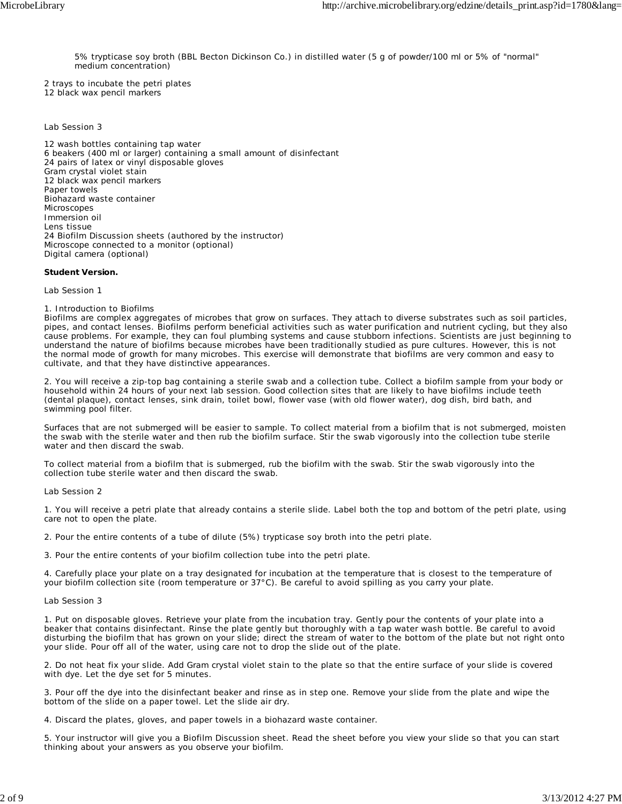5% trypticase soy broth (BBL Becton Dickinson Co.) in distilled water (5 g of powder/100 ml or 5% of "normal" medium concentration)

2 trays to incubate the petri plates 12 black wax pencil markers

#### *Lab Session 3*

12 wash bottles containing tap water 6 beakers (400 ml or larger) containing a small amount of disinfectant 24 pairs of latex or vinyl disposable gloves Gram crystal violet stain 12 black wax pencil markers Paper towels Biohazard waste container Microscopes Immersion oil Lens tissue 24 Biofilm Discussion sheets (authored by the instructor) Microscope connected to a monitor (optional) Digital camera (optional)

#### **Student Version.**

*Lab Session 1*

#### 1. Introduction to Biofilms

Biofilms are complex aggregates of microbes that grow on surfaces. They attach to diverse substrates such as soil particles, pipes, and contact lenses. Biofilms perform beneficial activities such as water purification and nutrient cycling, but they also cause problems. For example, they can foul plumbing systems and cause stubborn infections. Scientists are just beginning to understand the nature of biofilms because microbes have been traditionally studied as pure cultures. However, this is not the normal mode of growth for many microbes. This exercise will demonstrate that biofilms are very common and easy to cultivate, and that they have distinctive appearances.

2. You will receive a zip-top bag containing a sterile swab and a collection tube. Collect a biofilm sample from your body or household within 24 hours of your next lab session. Good collection sites that are likely to have biofilms include teeth (dental plaque), contact lenses, sink drain, toilet bowl, flower vase (with old flower water), dog dish, bird bath, and swimming pool filter.

Surfaces that are not submerged will be easier to sample. To collect material from a biofilm that is not submerged, moisten the swab with the sterile water and then rub the biofilm surface. Stir the swab vigorously into the collection tube sterile water and then discard the swab.

To collect material from a biofilm that is submerged, rub the biofilm with the swab. Stir the swab vigorously into the collection tube sterile water and then discard the swab.

#### *Lab Session 2*

1. You will receive a petri plate that already contains a sterile slide. Label both the top and bottom of the petri plate, using care not to open the plate.

2. Pour the entire contents of a tube of dilute (5%) trypticase soy broth into the petri plate.

3. Pour the entire contents of your biofilm collection tube into the petri plate.

4. Carefully place your plate on a tray designated for incubation at the temperature that is closest to the temperature of your biofilm collection site (room temperature or 37°C). Be careful to avoid spilling as you carry your plate.

#### *Lab Session 3*

1. Put on disposable gloves. Retrieve your plate from the incubation tray. Gently pour the contents of your plate into a beaker that contains disinfectant. Rinse the plate gently but thoroughly with a tap water wash bottle. Be careful to avoid disturbing the biofilm that has grown on your slide; direct the stream of water to the bottom of the plate but not right onto your slide. Pour off all of the water, using care not to drop the slide out of the plate.

2. Do not heat fix your slide. Add Gram crystal violet stain to the plate so that the entire surface of your slide is covered with dye. Let the dye set for 5 minutes.

3. Pour off the dye into the disinfectant beaker and rinse as in step one. Remove your slide from the plate and wipe the bottom of the slide on a paper towel. Let the slide air dry.

4. Discard the plates, gloves, and paper towels in a biohazard waste container.

5. Your instructor will give you a Biofilm Discussion sheet. Read the sheet before you view your slide so that you can start thinking about your answers as you observe your biofilm.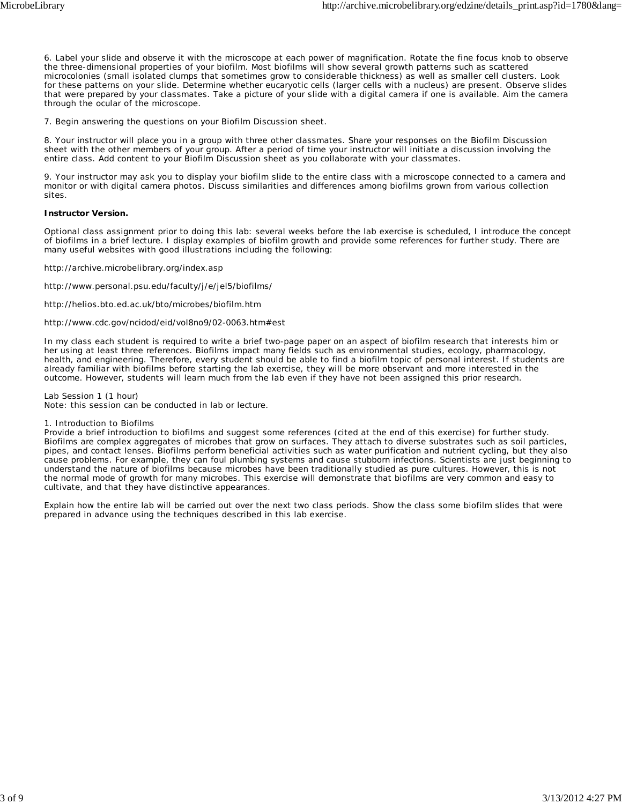6. Label your slide and observe it with the microscope at each power of magnification. Rotate the fine focus knob to observe the three-dimensional properties of your biofilm. Most biofilms will show several growth patterns such as scattered microcolonies (small isolated clumps that sometimes grow to considerable thickness) as well as smaller cell clusters. Look for these patterns on your slide. Determine whether eucaryotic cells (larger cells with a nucleus) are present. Observe slides that were prepared by your classmates. Take a picture of your slide with a digital camera if one is available. Aim the camera through the ocular of the microscope.

7. Begin answering the questions on your Biofilm Discussion sheet.

8. Your instructor will place you in a group with three other classmates. Share your responses on the Biofilm Discussion sheet with the other members of your group. After a period of time your instructor will initiate a discussion involving the entire class. Add content to your Biofilm Discussion sheet as you collaborate with your classmates.

9. Your instructor may ask you to display your biofilm slide to the entire class with a microscope connected to a camera and monitor or with digital camera photos. Discuss similarities and differences among biofilms grown from various collection sites.

#### **Instructor Version.**

Optional class assignment prior to doing this lab: several weeks before the lab exercise is scheduled, I introduce the concept of biofilms in a brief lecture. I display examples of biofilm growth and provide some references for further study. There are many useful websites with good illustrations including the following:

http://archive.microbelibrary.org/index.asp

http://www.personal.psu.edu/faculty/j/e/jel5/biofilms/

http://helios.bto.ed.ac.uk/bto/microbes/biofilm.htm

http://www.cdc.gov/ncidod/eid/vol8no9/02-0063.htm#est

In my class each student is required to write a brief two-page paper on an aspect of biofilm research that interests him or her using at least three references. Biofilms impact many fields such as environmental studies, ecology, pharmacology, health, and engineering. Therefore, every student should be able to find a biofilm topic of personal interest. If students are already familiar with biofilms before starting the lab exercise, they will be more observant and more interested in the outcome. However, students will learn much from the lab even if they have not been assigned this prior research.

*Lab Session 1 (1 hour)*

Note: this session can be conducted in lab or lecture.

#### 1. Introduction to Biofilms

Provide a brief introduction to biofilms and suggest some references (cited at the end of this exercise) for further study. Biofilms are complex aggregates of microbes that grow on surfaces. They attach to diverse substrates such as soil particles, pipes, and contact lenses. Biofilms perform beneficial activities such as water purification and nutrient cycling, but they also cause problems. For example, they can foul plumbing systems and cause stubborn infections. Scientists are just beginning to understand the nature of biofilms because microbes have been traditionally studied as pure cultures. However, this is not the normal mode of growth for many microbes. This exercise will demonstrate that biofilms are very common and easy to cultivate, and that they have distinctive appearances.

Explain how the entire lab will be carried out over the next two class periods. Show the class some biofilm slides that were prepared in advance using the techniques described in this lab exercise.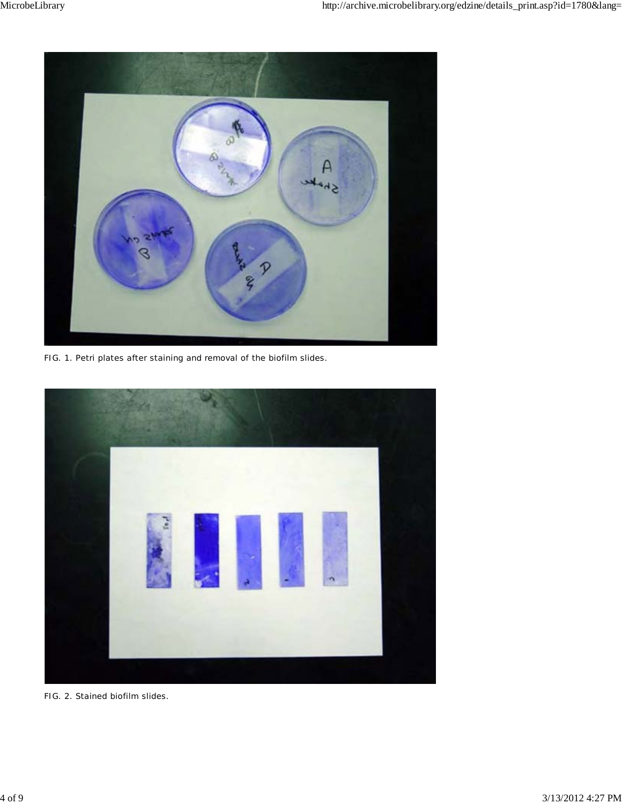

FIG. 1. Petri plates after staining and removal of the biofilm slides.



FIG. 2. Stained biofilm slides.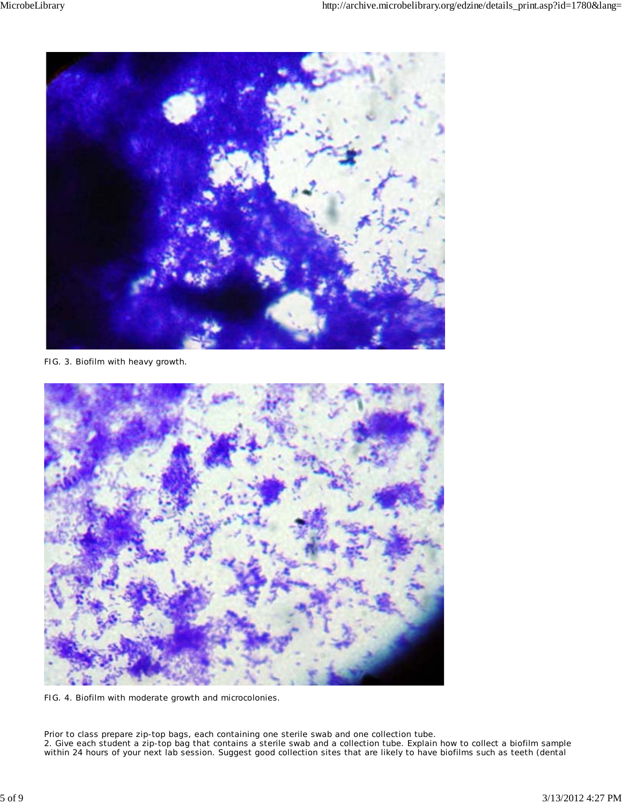

FIG. 3. Biofilm with heavy growth.



FIG. 4. Biofilm with moderate growth and microcolonies.

Prior to class prepare zip-top bags, each containing one sterile swab and one collection tube. 2. Give each student a zip-top bag that contains a sterile swab and a collection tube. Explain how to collect a biofilm sample within 24 hours of your next lab session. Suggest good collection sites that are likely to have biofilms such as teeth (dental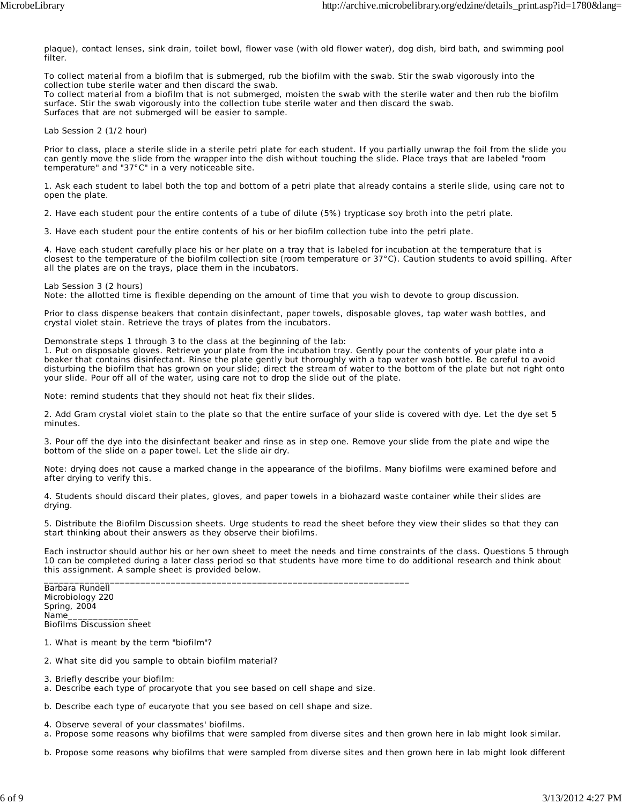plaque), contact lenses, sink drain, toilet bowl, flower vase (with old flower water), dog dish, bird bath, and swimming pool filter.

To collect material from a biofilm that is submerged, rub the biofilm with the swab. Stir the swab vigorously into the collection tube sterile water and then discard the swab.

To collect material from a biofilm that is not submerged, moisten the swab with the sterile water and then rub the biofilm surface. Stir the swab vigorously into the collection tube sterile water and then discard the swab. Surfaces that are not submerged will be easier to sample.

#### *Lab Session 2 (1/2 hour)*

Prior to class, place a sterile slide in a sterile petri plate for each student. If you partially unwrap the foil from the slide you can gently move the slide from the wrapper into the dish without touching the slide. Place trays that are labeled "room temperature" and "37°C" in a very noticeable site.

1. Ask each student to label both the top and bottom of a petri plate that already contains a sterile slide, using care not to open the plate.

2. Have each student pour the entire contents of a tube of dilute (5%) trypticase soy broth into the petri plate.

3. Have each student pour the entire contents of his or her biofilm collection tube into the petri plate.

4. Have each student carefully place his or her plate on a tray that is labeled for incubation at the temperature that is closest to the temperature of the biofilm collection site (room temperature or 37°C). Caution students to avoid spilling. After all the plates are on the trays, place them in the incubators.

#### *Lab Session 3 (2 hours)*

Note: the allotted time is flexible depending on the amount of time that you wish to devote to group discussion.

Prior to class dispense beakers that contain disinfectant, paper towels, disposable gloves, tap water wash bottles, and crystal violet stain. Retrieve the trays of plates from the incubators.

Demonstrate steps 1 through 3 to the class at the beginning of the lab:

1. Put on disposable gloves. Retrieve your plate from the incubation tray. Gently pour the contents of your plate into a beaker that contains disinfectant. Rinse the plate gently but thoroughly with a tap water wash bottle. Be careful to avoid disturbing the biofilm that has grown on your slide; direct the stream of water to the bottom of the plate but not right onto your slide. Pour off all of the water, using care not to drop the slide out of the plate.

Note: remind students that they should not heat fix their slides.

2. Add Gram crystal violet stain to the plate so that the entire surface of your slide is covered with dye. Let the dye set 5 minutes.

3. Pour off the dye into the disinfectant beaker and rinse as in step one. Remove your slide from the plate and wipe the bottom of the slide on a paper towel. Let the slide air dry.

Note: drying does not cause a marked change in the appearance of the biofilms. Many biofilms were examined before and after drying to verify this.

4. Students should discard their plates, gloves, and paper towels in a biohazard waste container while their slides are drying.

5. Distribute the Biofilm Discussion sheets. Urge students to read the sheet before they view their slides so that they can start thinking about their answers as they observe their biofilms.

Each instructor should author his or her own sheet to meet the needs and time constraints of the class. Questions 5 through 10 can be completed during a later class period so that students have more time to do additional research and think about this assignment. A sample sheet is provided below. \_\_\_\_\_\_\_\_\_\_\_\_\_\_\_\_\_\_\_\_\_\_\_\_\_\_\_\_\_\_\_\_\_\_\_\_\_\_\_\_\_\_\_\_\_\_\_\_\_\_\_\_\_\_\_\_\_\_\_\_\_\_\_\_\_\_\_\_\_\_\_\_

Barbara Rundell Microbiology 220 Spring, 2004 Name Biofilms Discussion sheet

- 1. What is meant by the term "biofilm"?
- 2. What site did you sample to obtain biofilm material?
- 3. Briefly describe your biofilm:
- a. Describe each type of procaryote that you see based on cell shape and size.

b. Describe each type of eucaryote that you see based on cell shape and size.

- 4. Observe several of your classmates' biofilms.
- a. Propose some reasons why biofilms that were sampled from diverse sites and then grown here in lab might look similar.

b. Propose some reasons why biofilms that were sampled from diverse sites and then grown here in lab might look different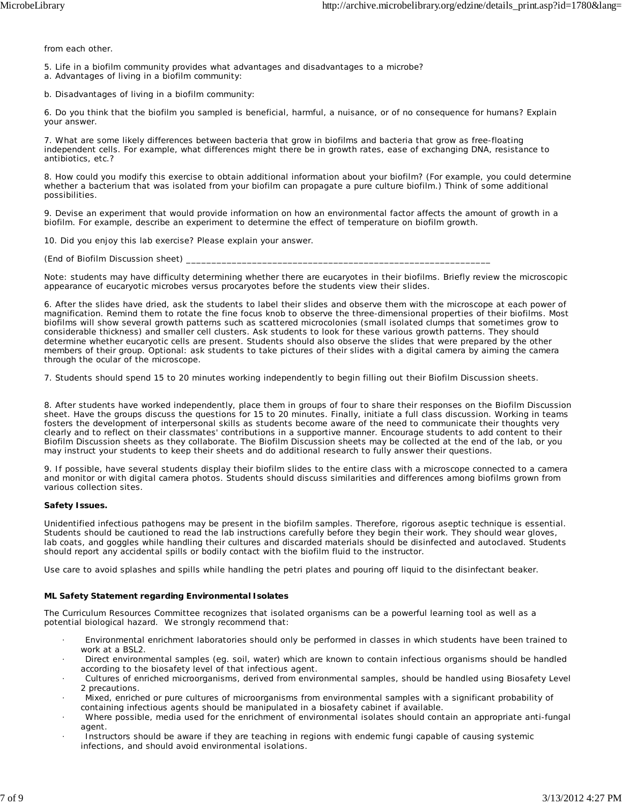from each other.

- 5. Life in a biofilm community provides what advantages and disadvantages to a microbe?
- a. Advantages of living in a biofilm community:
- b. Disadvantages of living in a biofilm community:

6. Do you think that the biofilm you sampled is beneficial, harmful, a nuisance, or of no consequence for humans? Explain your answer.

7. What are some likely differences between bacteria that grow in biofilms and bacteria that grow as free-floating independent cells. For example, what differences might there be in growth rates, ease of exchanging DNA, resistance to antibiotics, etc.?

8. How could you modify this exercise to obtain additional information about your biofilm? (For example, you could determine whether a bacterium that was isolated from your biofilm can propagate a pure culture biofilm.) Think of some additional possibilities.

9. Devise an experiment that would provide information on how an environmental factor affects the amount of growth in a biofilm. For example, describe an experiment to determine the effect of temperature on biofilm growth.

10. Did you enjoy this lab exercise? Please explain your answer.

(End of Biofilm Discussion sheet)

Note: students may have difficulty determining whether there are eucaryotes in their biofilms. Briefly review the microscopic appearance of eucaryotic microbes versus procaryotes before the students view their slides.

6. After the slides have dried, ask the students to label their slides and observe them with the microscope at each power of magnification. Remind them to rotate the fine focus knob to observe the three-dimensional properties of their biofilms. Most biofilms will show several growth patterns such as scattered microcolonies (small isolated clumps that sometimes grow to considerable thickness) and smaller cell clusters. Ask students to look for these various growth patterns. They should determine whether eucaryotic cells are present. Students should also observe the slides that were prepared by the other members of their group. Optional: ask students to take pictures of their slides with a digital camera by aiming the camera through the ocular of the microscope.

7. Students should spend 15 to 20 minutes working independently to begin filling out their Biofilm Discussion sheets.

8. After students have worked independently, place them in groups of four to share their responses on the Biofilm Discussion sheet. Have the groups discuss the questions for 15 to 20 minutes. Finally, initiate a full class discussion. Working in teams fosters the development of interpersonal skills as students become aware of the need to communicate their thoughts very clearly and to reflect on their classmates' contributions in a supportive manner. Encourage students to add content to their Biofilm Discussion sheets as they collaborate. The Biofilm Discussion sheets may be collected at the end of the lab, or you may instruct your students to keep their sheets and do additional research to fully answer their questions.

9. If possible, have several students display their biofilm slides to the entire class with a microscope connected to a camera and monitor or with digital camera photos. Students should discuss similarities and differences among biofilms grown from various collection sites.

#### **Safety Issues.**

Unidentified infectious pathogens may be present in the biofilm samples. Therefore, rigorous aseptic technique is essential. Students should be cautioned to read the lab instructions carefully before they begin their work. They should wear gloves, lab coats, and goggles while handling their cultures and discarded materials should be disinfected and autoclaved. Students should report any accidental spills or bodily contact with the biofilm fluid to the instructor.

Use care to avoid splashes and spills while handling the petri plates and pouring off liquid to the disinfectant beaker.

#### **ML Safety Statement regarding Environmental Isolates**

The Curriculum Resources Committee recognizes that isolated organisms can be a powerful learning tool as well as a potential biological hazard. We strongly recommend that:

- · Environmental enrichment laboratories should only be performed in classes in which students have been trained to work at a BSL2.
- · Direct environmental samples (eg. soil, water) which are known to contain infectious organisms should be handled according to the biosafety level of that infectious agent.
- · Cultures of enriched microorganisms, derived from environmental samples, should be handled using Biosafety Level 2 precautions.
- · Mixed, enriched or pure cultures of microorganisms from environmental samples with a significant probability of containing infectious agents should be manipulated in a biosafety cabinet if available.
- · Where possible, media used for the enrichment of environmental isolates should contain an appropriate anti-fungal agent.
- Instructors should be aware if they are teaching in regions with endemic fungi capable of causing systemic infections, and should avoid environmental isolations.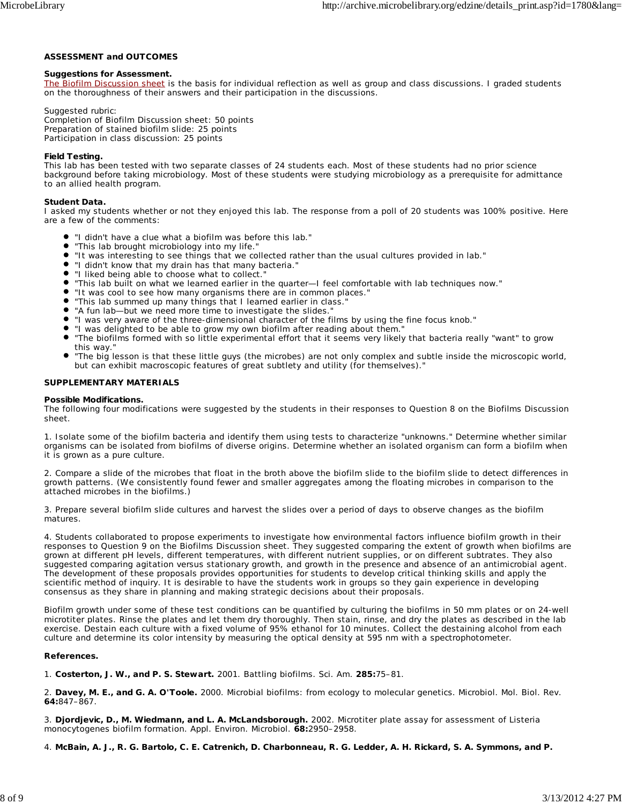## **ASSESSMENT and OUTCOMES**

#### **Suggestions for Assessment.**

The Biofilm Discussion sheet is the basis for individual reflection as well as group and class discussions. I graded students on the thoroughness of their answers and their participation in the discussions.

Suggested rubric: Completion of Biofilm Discussion sheet: 50 points Preparation of stained biofilm slide: 25 points Participation in class discussion: 25 points

#### **Field Testing.**

This lab has been tested with two separate classes of 24 students each. Most of these students had no prior science background before taking microbiology. Most of these students were studying microbiology as a prerequisite for admittance to an allied health program.

#### **Student Data.**

I asked my students whether or not they enjoyed this lab. The response from a poll of 20 students was 100% positive. Here are a few of the comments:

- "I didn't have a clue what a biofilm was before this lab."
- $\bullet$ "This lab brought microbiology into my life."
- "It was interesting to see things that we collected rather than the usual cultures provided in lab."
- "I didn't know that my drain has that many bacteria."
- "I liked being able to choose what to collect."
- "This lab built on what we learned earlier in the quarter—I feel comfortable with lab techniques now."  $\bullet$
- "It was cool to see how many organisms there are in common places."
- "This lab summed up many things that I learned earlier in class."
- "A fun lab—but we need more time to investigate the slides."
- "I was very aware of the three-dimensional character of the films by using the fine focus knob."
- "I was delighted to be able to grow my own biofilm after reading about them."
- "The biofilms formed with so little experimental effort that it seems very likely that bacteria really "want" to grow this way."
- "The big lesson is that these little guys (the microbes) are not only complex and subtle inside the microscopic world, but can exhibit macroscopic features of great subtlety and utility (for themselves)."

#### **SUPPLEMENTARY MATERIALS**

#### **Possible Modifications.**

The following four modifications were suggested by the students in their responses to Question 8 on the Biofilms Discussion sheet.

1. Isolate some of the biofilm bacteria and identify them using tests to characterize "unknowns." Determine whether similar organisms can be isolated from biofilms of diverse origins. Determine whether an isolated organism can form a biofilm when it is grown as a pure culture.

2. Compare a slide of the microbes that float in the broth above the biofilm slide to the biofilm slide to detect differences in growth patterns. (We consistently found fewer and smaller aggregates among the floating microbes in comparison to the attached microbes in the biofilms.)

3. Prepare several biofilm slide cultures and harvest the slides over a period of days to observe changes as the biofilm matures.

4. Students collaborated to propose experiments to investigate how environmental factors influence biofilm growth in their responses to Question 9 on the Biofilms Discussion sheet. They suggested comparing the extent of growth when biofilms are grown at different pH levels, different temperatures, with different nutrient supplies, or on different subtrates. They also suggested comparing agitation versus stationary growth, and growth in the presence and absence of an antimicrobial agent. The development of these proposals provides opportunities for students to develop critical thinking skills and apply the scientific method of inquiry. It is desirable to have the students work in groups so they gain experience in developing consensus as they share in planning and making strategic decisions about their proposals.

Biofilm growth under some of these test conditions can be quantified by culturing the biofilms in 50 mm plates or on 24-well microtiter plates. Rinse the plates and let them dry thoroughly. Then stain, rinse, and dry the plates as described in the lab exercise. Destain each culture with a fixed volume of 95% ethanol for 10 minutes. Collect the destaining alcohol from each culture and determine its color intensity by measuring the optical density at 595 nm with a spectrophotometer.

#### **References.**

1. **Costerton, J. W., and P. S. Stewart.** 2001. Battling biofilms. Sci. Am. **285:**75–81.

2. **Davey, M. E., and G. A. O'Toole.** 2000. Microbial biofilms: from ecology to molecular genetics. Microbiol. Mol. Biol. Rev. **64:**847–867.

3. **Djordjevic, D., M. Wiedmann, and L. A. McLandsborough.** 2002. Microtiter plate assay for assessment of *Listeria monocytogenes* biofilm formation. Appl. Environ. Microbiol. **68:**2950–2958.

4. **McBain, A. J., R. G. Bartolo, C. E. Catrenich, D. Charbonneau, R. G. Ledder, A. H. Rickard, S. A. Symmons, and P.**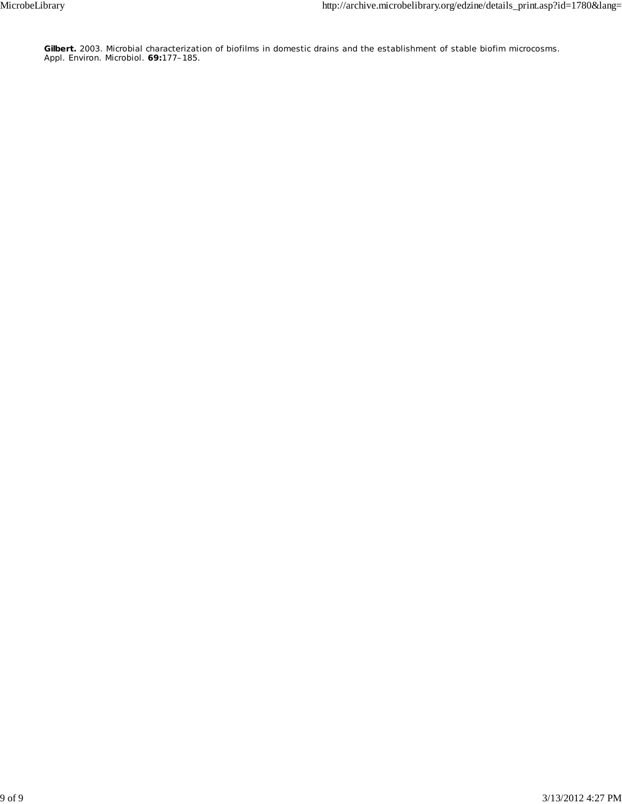**Gilbert.** 2003. Microbial characterization of biofilms in domestic drains and the establishment of stable biofim microcosms. Appl. Environ. Microbiol. **69:**177–185.